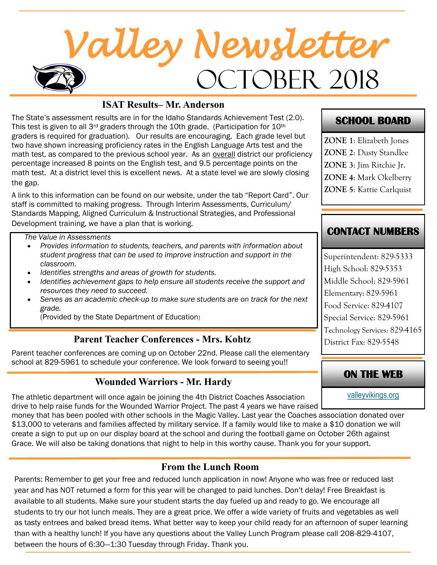# OCTOBER 2018 *Valley Newsletter*

#### **ISAT Results– Mr. Anderson**

The State's assessment results are in for the Idaho Standards Achievement Test (2.0). This test is given to all 3<sup>rd</sup> graders through the 10th grade. (Participation for  $10<sup>th</sup>$ graders is required for graduation). Our results are encouraging. Each grade level but two have shown increasing proficiency rates in the English Language Arts test and the math test, as compared to the previous school year. As an overall district our proficiency percentage increased 8 points on the English test, and 9.5 percentage points on the math test. At a district level this is excellent news. At a state level we are slowly closing the gap.

A link to this information can be found on our website, under the tab "Report Card". Our staff is committed to making progress. Through Interim Assessments, Curriculum/ Standards Mapping, Aligned Curriculum & Instructional Strategies, and Professional Development training, we have a plan that is working.

*The Value in Assessments*

- *Provides information to students, teachers, and parents with information about student progress that can be used to improve instruction and support in the classroom.*
- *Identifies strengths and areas of growth for students.*
- *Identifies achievement gaps to help ensure all students receive the support and resources they need to succeed.*
- *Serves as an academic check-up to make sure students are on track for the next grade.*

(Provided by the State Department of Education)

#### **Parent Teacher Conferences - Mrs. Kohtz**

Parent teacher conferences are coming up on October 22nd. Please call the elementary school at 829-5961 to schedule your conference. We look forward to seeing you!!

## **ON THE WEB Wounded Warriors - Mr. Hardy**

The athletic department will once again be joining the 4th District Coaches Association drive to help raise funds for the Wounded Warrior Project. The past 4 years we have raised

money that has been pooled with other schools in the Magic Valley. Last year the Coaches association donated over \$13,000 to veterans and families affected by military service. If a family would like to make a \$10 donation we will create a sign to put up on our display board at the school and during the football game on October 26th against Grace. We will also be taking donations that night to help in this worthy cause. Thank you for your support.

#### **From the Lunch Room**

Parents: Remember to get your free and reduced lunch application in now! Anyone who was free or reduced last year and has NOT returned a form for this year will be changed to paid lunches. Don't delay! Free Breakfast is available to all students. Make sure your student starts the day fueled up and ready to go. We encourage all students to try our hot lunch meals. They are a great price. We offer a wide variety of fruits and vegetables as well as tasty entrees and baked bread items. What better way to keep your child ready for an afternoon of super learning than with a healthy lunch! If you have any questions about the Valley Lunch Program please call 208-829-4107, between the hours of 6:30—1:30 Tuesday through Friday. Thank you.

#### **SCHOOL BOARD**

**ZONE 1**: Elizabeth Jones **ZONE 2**: Dusty Standlee **ZONE 3**: Jim Ritchie Jr.

**ZONE 4**: Mark Okelberry

**ZONE 5**: Kattie Carlquist

### **CONTACT NUMBERS**

Superintendent: 829-5333 High School: 829-5353 Middle School: 829-5961 Elementary: 829-5961 Food Service: 829-4107 Special Service: 829-5961 Technology Services: 829-4165 District Fax: 829-5548

[valleyvikings.org](http://www.valleyvikings.org/)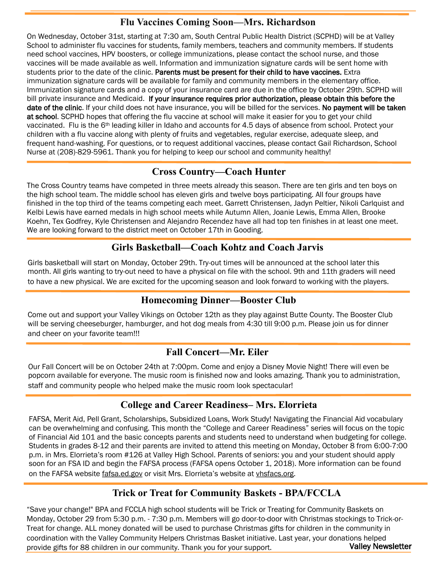#### **Flu Vaccines Coming Soon—Mrs. Richardson**

On Wednesday, October 31st, starting at 7:30 am, South Central Public Health District (SCPHD) will be at Valley School to administer flu vaccines for students, family members, teachers and community members. If students need school vaccines, HPV boosters, or college immunizations, please contact the school nurse, and those vaccines will be made available as well. Information and immunization signature cards will be sent home with students prior to the date of the clinic. Parents must be present for their child to have vaccines. Extra immunization signature cards will be available for family and community members in the elementary office. Immunization signature cards and a copy of your insurance card are due in the office by October 29th. SCPHD will bill private insurance and Medicaid. If your insurance requires prior authorization, please obtain this before the date of the clinic. If your child does not have insurance, you will be billed for the services. No payment will be taken at school. SCPHD hopes that offering the flu vaccine at school will make it easier for you to get your child vaccinated. Flu is the 6<sup>th</sup> leading killer in Idaho and accounts for 4.5 days of absence from school. Protect your children with a flu vaccine along with plenty of fruits and vegetables, regular exercise, adequate sleep, and frequent hand-washing. For questions, or to request additional vaccines, please contact Gail Richardson, School Nurse at (208)-829-5961. Thank you for helping to keep our school and community healthy!

#### **Cross Country—Coach Hunter**

The Cross Country teams have competed in three meets already this season. There are ten girls and ten boys on the high school team. The middle school has eleven girls and twelve boys participating. All four groups have finished in the top third of the teams competing each meet. Garrett Christensen, Jadyn Peltier, Nikoli Carlquist and Kelbi Lewis have earned medals in high school meets while Autumn Allen, Joanie Lewis, Emma Allen, Brooke Koehn, Tex Godfrey, Kyle Christensen and Alejandro Recendez have all had top ten finishes in at least one meet. We are looking forward to the district meet on October 17th in Gooding.

#### **Girls Basketball—Coach Kohtz and Coach Jarvis**

Girls basketball will start on Monday, October 29th. Try-out times will be announced at the school later this month. All girls wanting to try-out need to have a physical on file with the school. 9th and 11th graders will need to have a new physical. We are excited for the upcoming season and look forward to working with the players.

#### **Homecoming Dinner—Booster Club**

Come out and support your Valley Vikings on October 12th as they play against Butte County. The Booster Club will be serving cheeseburger, hamburger, and hot dog meals from 4:30 till 9:00 p.m. Please join us for dinner and cheer on your favorite team!!!

#### **Fall Concert—Mr. Eiler**

Our Fall Concert will be on October 24th at 7:00pm. Come and enjoy a Disney Movie Night! There will even be popcorn available for everyone. The music room is finished now and looks amazing. Thank you to administration, staff and community people who helped make the music room look spectacular!

#### **College and Career Readiness– Mrs. Elorrieta**

FAFSA, Merit Aid, Pell Grant, Scholarships, Subsidized Loans, Work Study! Navigating the Financial Aid vocabulary can be overwhelming and confusing. This month the "College and Career Readiness" series will focus on the topic of Financial Aid 101 and the basic concepts parents and students need to understand when budgeting for college. Students in grades 8-12 and their parents are invited to attend this meeting on Monday, October 8 from 6:00-7:00 p.m. in Mrs. Elorrieta's room #126 at Valley High School. Parents of seniors: you and your student should apply soon for an FSA ID and begin the FAFSA process (FAFSA opens October 1, 2018). More information can be found on the FAFSA website [fafsa.ed.gov](http://fafsa.ed.gov) or visit Mrs. Elorrieta's website at [vhsfacs.org.](http://vhsfacs.org)

#### **Trick or Treat for Community Baskets - BPA/FCCLA**

Valley Newsletter "Save your change!" BPA and FCCLA high school students will be Trick or Treating for Community Baskets on Monday, October 29 from 5:30 p.m. - 7:30 p.m. Members will go door-to-door with Christmas stockings to Trick-or-Treat for change. ALL money donated will be used to purchase Christmas gifts for children in the community in coordination with the Valley Community Helpers Christmas Basket initiative. Last year, your donations helped provide gifts for 88 children in our community. Thank you for your support.